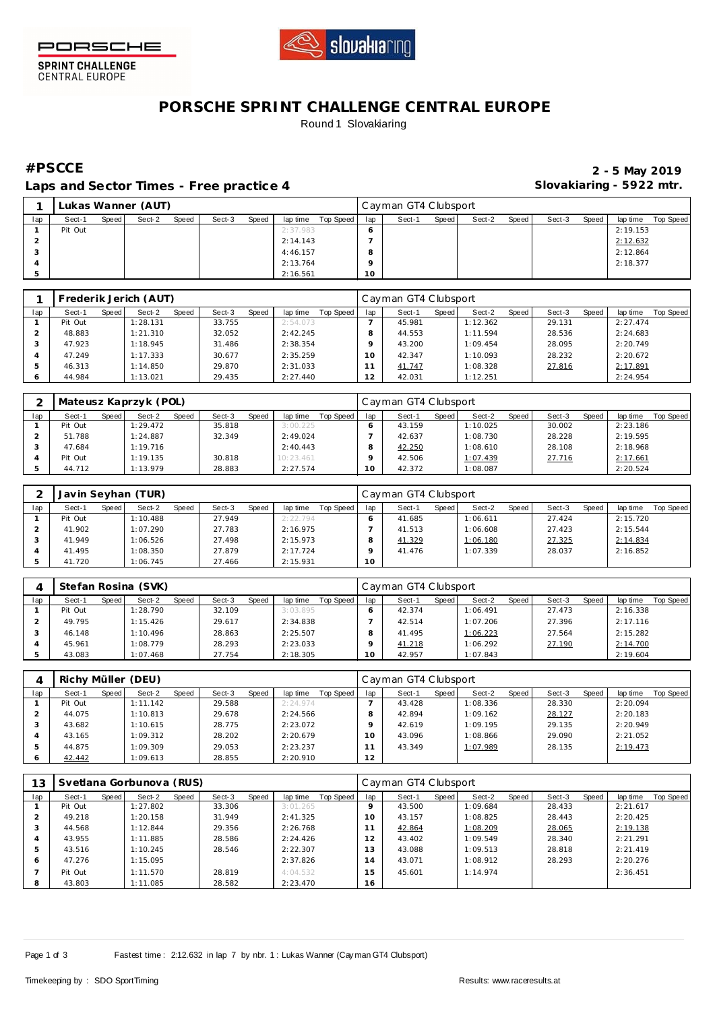



**SPRINT CHALLENGE**<br>CENTRAL EUROPE

## **PORSCHE SPRINT CHALLENGE CENTRAL EUROPE** Round 1 Slovakiaring

**Laps and Sector Times - Free practice 4 Slovakiaring - 5922 mtr.**

**#PSCCE 2 - 5 May 2019**

|     |         |       | Lukas Wanner (AUT) |       |        |       |          |           |     | Cayman GT4 Clubsport |       |        |       |        |       |          |           |
|-----|---------|-------|--------------------|-------|--------|-------|----------|-----------|-----|----------------------|-------|--------|-------|--------|-------|----------|-----------|
| lap | Sect-1  | Speed | Sect-2             | Speed | Sect-3 | Speed | lap time | Top Speed | lap | Sect-1               | Speed | Sect-2 | Speed | Sect-3 | Speed | lap time | Top Speed |
|     | Pit Out |       |                    |       |        |       | 2:37.983 |           | O   |                      |       |        |       |        |       | 2:19.153 |           |
|     |         |       |                    |       |        |       | 2:14.143 |           |     |                      |       |        |       |        |       | 2:12.632 |           |
|     |         |       |                    |       |        |       | 4:46.157 |           | Õ   |                      |       |        |       |        |       | 2:12.864 |           |
|     |         |       |                    |       |        |       | 2:13.764 |           | o   |                      |       |        |       |        |       | 2:18.377 |           |
|     |         |       |                    |       |        |       | 2:16.561 |           | 10  |                      |       |        |       |        |       |          |           |

|     |         |         | Frederik Jerich (AUT) |       |        |       |          |           |                 | Cayman GT4 Clubsport |         |          |       |        |       |          |           |
|-----|---------|---------|-----------------------|-------|--------|-------|----------|-----------|-----------------|----------------------|---------|----------|-------|--------|-------|----------|-----------|
| lap | Sect-1  | Speed I | Sect-2                | Speed | Sect-3 | Speed | lap time | Top Speed | lap             | Sect-1               | Speed I | Sect-2   | Speed | Sect-3 | Speed | lap time | Top Speed |
|     | Pit Out |         | 1:28.131              |       | 33.755 |       | 2:54.073 |           |                 | 45.981               |         | 1:12.362 |       | 29.131 |       | 2:27.474 |           |
|     | 48.883  |         | 1:21.310              |       | 32.052 |       | 2:42.245 |           |                 | 44.553               |         | 1:11.594 |       | 28.536 |       | 2:24.683 |           |
|     | 47.923  |         | 1:18.945              |       | 31.486 |       | 2:38.354 |           |                 | 43.200               |         | 1:09.454 |       | 28.095 |       | 2:20.749 |           |
|     | 47.249  |         | 1:17.333              |       | 30.677 |       | 2:35.259 |           | 10 <sup>°</sup> | 42.347               |         | 1:10.093 |       | 28.232 |       | 2:20.672 |           |
|     | 46.313  |         | 1:14.850              |       | 29.870 |       | 2:31.033 |           |                 | 41.747               |         | 1:08.328 |       | 27.816 |       | 2:17.891 |           |
|     | 44.984  |         | 1:13.021              |       | 29.435 |       | 2:27.440 |           | $\sim$          | 42.031               |         | 1:12.251 |       |        |       | 2:24.954 |           |

|     |         |       | Mateusz Kaprzyk (POL) |              |        |       |           |           |     | Cayman GT4 Clubsport |       |          |        |        |       |          |           |
|-----|---------|-------|-----------------------|--------------|--------|-------|-----------|-----------|-----|----------------------|-------|----------|--------|--------|-------|----------|-----------|
| lap | Sect-1  | Speed | Sect-2                | <b>Speed</b> | Sect-3 | Speed | lap time  | Top Speed | lap | Sect-1               | Speed | Sect-2   | Speed, | Sect-3 | Speed | lap time | Top Speed |
|     | Pit Out |       | 1:29.472              |              | 35.818 |       | 3:00.225  |           |     | 43.159               |       | 1:10.025 |        | 30.002 |       | 2:23.186 |           |
|     | 51.788  |       | 1:24.887              |              | 32.349 |       | 2:49.024  |           |     | 42.637               |       | 1:08.730 |        | 28.228 |       | 2:19.595 |           |
|     | 47.684  |       | 1:19.716              |              |        |       | 2:40.443  |           |     | 42.250               |       | 1:08.610 |        | 28.108 |       | 2:18.968 |           |
|     | Pit Out |       | 1:19.135              |              | 30.818 |       | 10:23.461 |           |     | 42.506               |       | 1:07.439 |        | 27.716 |       | 2:17.661 |           |
|     | 44.712  |       | 1:13.979              |              | 28.883 |       | 2:27.574  |           | 10  | 42.372               |       | 1:08.087 |        |        |       | 2:20.524 |           |

|     |         |       | Javin Seyhan (TUR) |       |        |       |          |           |     | l Cayman GT4 Clubsport |       |          |       |        |       |          |           |
|-----|---------|-------|--------------------|-------|--------|-------|----------|-----------|-----|------------------------|-------|----------|-------|--------|-------|----------|-----------|
| lap | Sect-1  | Speed | Sect-2             | Speed | Sect-3 | Speed | lap time | Top Speed | lap | Sect-1                 | Speed | Sect-2   | Speed | Sect-3 | Speed | lap time | Top Speed |
|     | Pit Out |       | 1:10.488           |       | 27.949 |       | 2:22.794 |           |     | 41.685                 |       | 1:06.611 |       | 27.424 |       | 2:15.720 |           |
|     | 41.902  |       | 1:07.290           |       | 27.783 |       | 2:16.975 |           |     | 41.513                 |       | 1:06.608 |       | 27.423 |       | 2:15.544 |           |
|     | 41.949  |       | :06.526            |       | 27.498 |       | 2:15.973 |           |     | 41.329                 |       | 1:06.180 |       | 27.325 |       | 2:14.834 |           |
|     | 41.495  |       | :08.350            |       | 27.879 |       | 2:17.724 |           |     | 41.476                 |       | 1:07.339 |       | 28.037 |       | 2:16.852 |           |
|     | 41.720  |       | :06.745            |       | 27.466 |       | 2:15.931 |           | 10  |                        |       |          |       |        |       |          |           |

|     | Stefan Rosina (SVK) |       |          |       |        |       |          |           |     | Cayman GT4 Clubsport |       |          |       |        |       |          |           |
|-----|---------------------|-------|----------|-------|--------|-------|----------|-----------|-----|----------------------|-------|----------|-------|--------|-------|----------|-----------|
| lap | Sect-1              | Speed | Sect-2   | Speed | Sect-3 | Speed | lap time | Top Speed | lap | Sect-1               | Speed | Sect-2   | Speed | Sect-3 | Speed | lap time | Top Speed |
|     | Pit Out             |       | 1:28.790 |       | 32.109 |       | 3:03.895 |           |     | 42.374               |       | 1:06.491 |       | 27.473 |       | 2:16.338 |           |
|     | 49.795              |       | 1:15.426 |       | 29.617 |       | 2:34.838 |           |     | 42.514               |       | 1:07.206 |       | 27.396 |       | 2:17.116 |           |
|     | 46.148              |       | 1:10.496 |       | 28.863 |       | 2:25.507 |           |     | 41.495               |       | 1:06.223 |       | 27.564 |       | 2:15.282 |           |
|     | 45.961              |       | 1:08.779 |       | 28.293 |       | 2:23.033 |           |     | 41.218               |       | 1:06.292 |       | 27.190 |       | 2:14.700 |           |
|     | 43.083              |       | 1:07.468 |       | 27.754 |       | 2:18.305 |           |     | 42.957               |       | 1:07.843 |       |        |       | 2:19.604 |           |

|     | Richy Müller (DEU) |       |          |       |        |       |          |           |     | Cayman GT4 Clubsport |       |          |       |        |       |          |           |
|-----|--------------------|-------|----------|-------|--------|-------|----------|-----------|-----|----------------------|-------|----------|-------|--------|-------|----------|-----------|
| lap | Sect-1             | Speed | Sect-2   | Speed | Sect-3 | Speed | lap time | Top Speed | lap | Sect-1               | Speed | Sect-2   | Speed | Sect-3 | Speed | lap time | Top Speed |
|     | Pit Out            |       | 1:11.142 |       | 29.588 |       | 2:24.974 |           |     | 43.428               |       | 1:08.336 |       | 28.330 |       | 2:20.094 |           |
|     | 44.075             |       | 1:10.813 |       | 29.678 |       | 2:24.566 |           |     | 42.894               |       | 1:09.162 |       | 28.127 |       | 2:20.183 |           |
|     | 43.682             |       | 1:10.615 |       | 28.775 |       | 2:23.072 |           |     | 42.619               |       | 1:09.195 |       | 29.135 |       | 2:20.949 |           |
|     | 43.165             |       | 1:09.312 |       | 28.202 |       | 2:20.679 |           | 1 O | 43.096               |       | 1:08.866 |       | 29.090 |       | 2:21.052 |           |
|     | 44.875             |       | 1:09.309 |       | 29.053 |       | 2:23.237 |           |     | 43.349               |       | 1:07.989 |       | 28.135 |       | 2:19.473 |           |
|     | 42.442             |       | 1:09.613 |       | 28.855 |       | 2:20.910 |           | 12  |                      |       |          |       |        |       |          |           |

| 13  |         |       | Svetlana Gorbunova (RUS) |       |        |       |          |           |         | Cayman GT4 Clubsport |       |          |       |        |       |          |           |
|-----|---------|-------|--------------------------|-------|--------|-------|----------|-----------|---------|----------------------|-------|----------|-------|--------|-------|----------|-----------|
| lap | Sect-1  | Speed | Sect-2                   | Speed | Sect-3 | Speed | lap time | Top Speed | lap     | Sect-1               | Speed | Sect-2   | Speed | Sect-3 | Speed | lap time | Top Speed |
|     | Pit Out |       | 1:27.802                 |       | 33.306 |       | 3:01.265 |           | $\circ$ | 43.500               |       | 1:09.684 |       | 28.433 |       | 2:21.617 |           |
|     | 49.218  |       | 1:20.158                 |       | 31.949 |       | 2:41.325 |           | 10      | 43.157               |       | 1:08.825 |       | 28.443 |       | 2:20.425 |           |
| 3   | 44.568  |       | 1:12.844                 |       | 29.356 |       | 2:26.768 |           | 11      | 42.864               |       | 1:08.209 |       | 28.065 |       | 2:19.138 |           |
| 4   | 43.955  |       | 1:11.885                 |       | 28.586 |       | 2:24.426 |           | 12      | 43.402               |       | 1:09.549 |       | 28.340 |       | 2:21.291 |           |
| 5   | 43.516  |       | 1:10.245                 |       | 28.546 |       | 2:22.307 |           | 13      | 43.088               |       | 1:09.513 |       | 28.818 |       | 2:21.419 |           |
| 6   | 47.276  |       | 1:15.095                 |       |        |       | 2:37.826 |           | 14      | 43.071               |       | 1:08.912 |       | 28.293 |       | 2:20.276 |           |
|     | Pit Out |       | 1:11.570                 |       | 28.819 |       | 4:04.532 |           | 15      | 45.601               |       | 1:14.974 |       |        |       | 2:36.451 |           |
| 8   | 43.803  |       | 1:11.085                 |       | 28.582 |       | 2:23.470 |           | 16      |                      |       |          |       |        |       |          |           |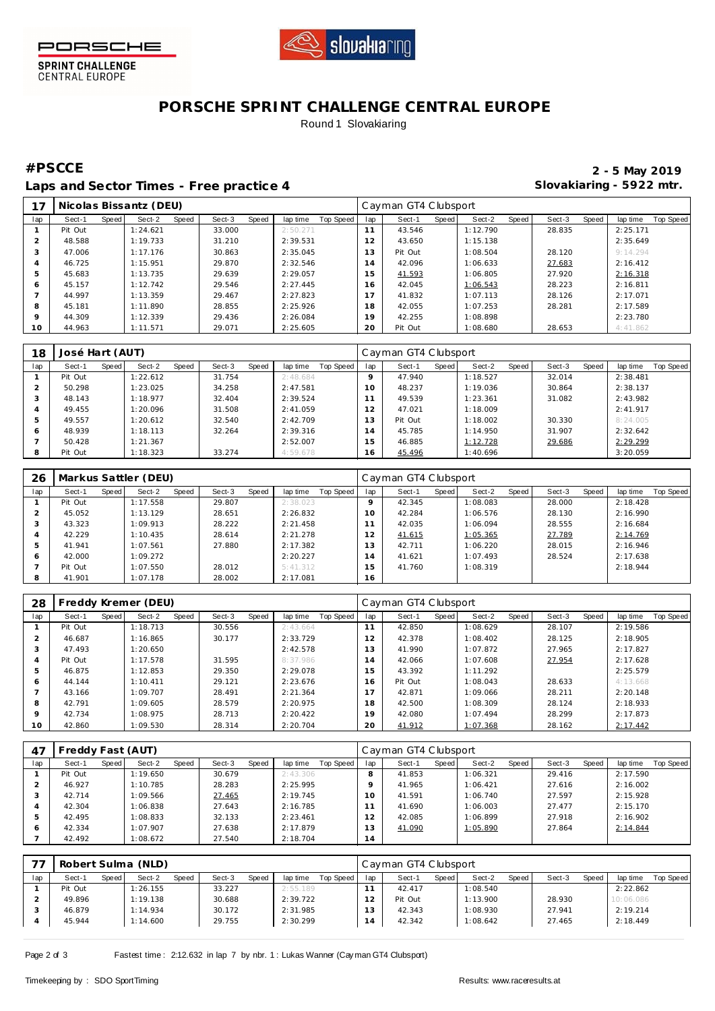

PORSCHE

SPRINT CHALLENGE<br>CENTRAL EUROPE

# **PORSCHE SPRINT CHALLENGE CENTRAL EUROPE** Round 1 Slovakiaring

Laps and Sector Times - Free practice 4 **Slovakiaring - 5922 mtr.** 

**#PSCCE 2 - 5 May 2019**

|                    |         |       | Nicolas Bissantz (DEU) |       |        |       |          |           |                | Cayman GT4 Clubsport |       |          |       |        |       |          |           |
|--------------------|---------|-------|------------------------|-------|--------|-------|----------|-----------|----------------|----------------------|-------|----------|-------|--------|-------|----------|-----------|
| lap                | Sect-1  | Speed | Sect-2                 | Speed | Sect-3 | Speed | lap time | Top Speed | lap            | Sect-1               | Speed | Sect-2   | Speed | Sect-3 | Speed | lap time | Top Speed |
|                    | Pit Out |       | 1:24.621               |       | 33.000 |       | 2:50.271 |           | 11             | 43.546               |       | 1:12.790 |       | 28.835 |       | 2:25.171 |           |
|                    | 48.588  |       | 1:19.733               |       | 31.210 |       | 2:39.531 |           | 12             | 43.650               |       | 1:15.138 |       |        |       | 2:35.649 |           |
| $\sqrt{2}$<br>۰. 5 | 47.006  |       | 1:17.176               |       | 30.863 |       | 2:35.045 |           | 13             | Pit Out              |       | 1:08.504 |       | 28.120 |       | 9:14.294 |           |
| 4                  | 46.725  |       | 1:15.951               |       | 29.870 |       | 2:32.546 |           | $\overline{4}$ | 42.096               |       | 1:06.633 |       | 27.683 |       | 2:16.412 |           |
|                    | 45.683  |       | 1:13.735               |       | 29.639 |       | 2:29.057 |           | 15             | 41.593               |       | 1:06.805 |       | 27.920 |       | 2:16.318 |           |
| 6                  | 45.157  |       | 1:12.742               |       | 29.546 |       | 2:27.445 |           | $6^{\circ}$    | 42.045               |       | 1:06.543 |       | 28.223 |       | 2:16.811 |           |
|                    | 44.997  |       | 1:13.359               |       | 29.467 |       | 2:27.823 |           |                | 41.832               |       | 1:07.113 |       | 28.126 |       | 2:17.071 |           |
| 8                  | 45.181  |       | 1:11.890               |       | 28.855 |       | 2:25.926 |           | 18             | 42.055               |       | 1:07.253 |       | 28.281 |       | 2:17.589 |           |
| 9                  | 44.309  |       | 1:12.339               |       | 29.436 |       | 2:26.084 |           | 19             | 42.255               |       | 1:08.898 |       |        |       | 2:23.780 |           |
| 10                 | 44.963  |       | 1:11.571               |       | 29.071 |       | 2:25.605 |           | 20             | Pit Out              |       | 1:08.680 |       | 28.653 |       | 4:41.862 |           |

| 18  | José Hart (AUT) |       |              |       |        |       |          |           |         | Cayman GT4 Clubsport |       |          |       |        |       |          |           |
|-----|-----------------|-------|--------------|-------|--------|-------|----------|-----------|---------|----------------------|-------|----------|-------|--------|-------|----------|-----------|
| lap | Sect-1          | Speed | Sect-2       | Speed | Sect-3 | Speed | lap time | Top Speed | lap     | Sect-1               | Speed | Sect-2   | Speed | Sect-3 | Speed | lap time | Top Speed |
|     | Pit Out         |       | 1:22.612     |       | 31.754 |       | 2:48.684 |           | $\circ$ | 47.940               |       | 1:18.527 |       | 32.014 |       | 2:38.481 |           |
|     | 50.298          |       | 1:23.025     |       | 34.258 |       | 2:47.581 |           | 10      | 48.237               |       | 1:19.036 |       | 30.864 |       | 2:38.137 |           |
| -5  | 48.143          |       | 1:18.977     |       | 32.404 |       | 2:39.524 |           |         | 49.539               |       | 1:23.361 |       | 31.082 |       | 2:43.982 |           |
| 4   | 49.455          |       | $\pm 20.096$ |       | 31.508 |       | 2:41.059 |           | 12      | 47.021               |       | 1:18.009 |       |        |       | 2:41.917 |           |
| 5   | 49.557          |       | 1:20.612     |       | 32.540 |       | 2:42.709 |           | 13      | Pit Out              |       | 1:18.002 |       | 30.330 |       | 8:24.005 |           |
| 6   | 48.939          |       | 1:18.113     |       | 32.264 |       | 2:39.316 |           | 14      | 45.785               |       | 1:14.950 |       | 31.907 |       | 2:32.642 |           |
|     | 50.428          |       | 1:21.367     |       |        |       | 2:52.007 |           | 15      | 46.885               |       | 1:12.728 |       | 29.686 |       | 2:29.299 |           |
| 8   | Pit Out         |       | 1:18.323     |       | 33.274 |       | 4:59.678 |           | 16      | 45.496               |       | 1:40.696 |       |        |       | 3:20.059 |           |

| 26  |         |       | Markus Sattler (DEU) |       |        |       |          |           |                | Cayman GT4 Clubsport |       |          |       |        |       |          |           |
|-----|---------|-------|----------------------|-------|--------|-------|----------|-----------|----------------|----------------------|-------|----------|-------|--------|-------|----------|-----------|
| lap | Sect-1  | Speed | Sect-2               | Speed | Sect-3 | Speed | lap time | Top Speed | lap            | Sect-1               | Speed | Sect-2   | Speed | Sect-3 | Speed | lap time | Top Speed |
|     | Pit Out |       | 1:17.558             |       | 29.807 |       | 2:38.023 |           | $\circ$        | 42.345               |       | 1:08.083 |       | 28,000 |       | 2:18.428 |           |
|     | 45.052  |       | 1:13.129             |       | 28.651 |       | 2:26.832 |           | 10             | 42.284               |       | 1:06.576 |       | 28.130 |       | 2:16.990 |           |
|     | 43.323  |       | 1:09.913             |       | 28.222 |       | 2:21.458 |           |                | 42.035               |       | 1:06.094 |       | 28.555 |       | 2:16.684 |           |
|     | 42.229  |       | 1:10.435             |       | 28.614 |       | 2:21.278 |           | 2              | 41.615               |       | 1:05.365 |       | 27.789 |       | 2:14.769 |           |
| ь   | 41.941  |       | 1:07.561             |       | 27.880 |       | 2:17.382 |           | 3              | 42.711               |       | 1:06.220 |       | 28.015 |       | 2:16.946 |           |
| 6   | 42.000  |       | 1:09.272             |       |        |       | 2:20.227 |           | $\overline{A}$ | 41.621               |       | 1:07.493 |       | 28.524 |       | 2:17.638 |           |
|     | Pit Out |       | 1:07.550             |       | 28.012 |       | 5:41.312 |           | 5              | 41.760               |       | 1:08.319 |       |        |       | 2:18.944 |           |
| 8   | 41.901  |       | 1:07.178             |       | 28.002 |       | 2:17.081 |           | 16             |                      |       |          |       |        |       |          |           |

| 28  |         |       | Freddy Kremer (DEU) |       |        |       |          |           |                | Cayman GT4 Clubsport |       |          |       |        |       |          |           |
|-----|---------|-------|---------------------|-------|--------|-------|----------|-----------|----------------|----------------------|-------|----------|-------|--------|-------|----------|-----------|
| lap | Sect-1  | Speed | Sect-2              | Speed | Sect-3 | Speed | lap time | Top Speed | lap            | Sect-1               | Speed | Sect-2   | Speed | Sect-3 | Speed | lap time | Top Speed |
|     | Pit Out |       | 1:18.713            |       | 30.556 |       | 2:43.664 |           | 11             | 42.850               |       | 1:08.629 |       | 28.107 |       | 2:19.586 |           |
|     | 46.687  |       | 1:16.865            |       | 30.177 |       | 2:33.729 |           | 12             | 42.378               |       | 1:08.402 |       | 28.125 |       | 2:18.905 |           |
| -3  | 47.493  |       | 1:20.650            |       |        |       | 2:42.578 |           | 13             | 41.990               |       | 1:07.872 |       | 27.965 |       | 2:17.827 |           |
| 4   | Pit Out |       | 1:17.578            |       | 31.595 |       | 8:37.986 |           | $\overline{4}$ | 42.066               |       | 1:07.608 |       | 27.954 |       | 2:17.628 |           |
|     | 46.875  |       | 1:12.853            |       | 29.350 |       | 2:29.078 |           | 5              | 43.392               |       | 1:11.292 |       |        |       | 2:25.579 |           |
| 6   | 44.144  |       | 1:10.411            |       | 29.121 |       | 2:23.676 |           | 16             | Pit Out              |       | 1:08.043 |       | 28.633 |       | 4:13.668 |           |
|     | 43.166  |       | 1:09.707            |       | 28.491 |       | 2:21.364 |           | $\overline{ }$ | 42.871               |       | 1:09.066 |       | 28.211 |       | 2:20.148 |           |
| 8   | 42.791  |       | 1:09.605            |       | 28.579 |       | 2:20.975 |           | 18             | 42.500               |       | 1:08.309 |       | 28.124 |       | 2:18.933 |           |
| Q   | 42.734  |       | 1:08.975            |       | 28.713 |       | 2:20.422 |           | 19             | 42.080               |       | 1:07.494 |       | 28.299 |       | 2:17.873 |           |
| 10  | 42.860  |       | 1:09.530            |       | 28.314 |       | 2:20.704 |           | 20             | 41.912               |       | 1:07.368 |       | 28.162 |       | 2:17.442 |           |

| 47  | Freddy Fast (AUT) |       |          |       |        |       |          |           |     | Cayman GT4 Clubsport |       |          |       |        |       |          |           |
|-----|-------------------|-------|----------|-------|--------|-------|----------|-----------|-----|----------------------|-------|----------|-------|--------|-------|----------|-----------|
| lap | Sect-1            | Speed | Sect-2   | Speed | Sect-3 | Speed | lap time | Top Speed | lap | Sect-1               | Speed | Sect-2   | Speed | Sect-3 | Speed | lap time | Top Speed |
|     | Pit Out           |       | 1:19.650 |       | 30.679 |       | 2:43.306 |           | 8   | 41.853               |       | 1:06.321 |       | 29.416 |       | 2:17.590 |           |
|     | 46.927            |       | 1:10.785 |       | 28.283 |       | 2:25.995 |           |     | 41.965               |       | 1:06.421 |       | 27.616 |       | 2:16.002 |           |
|     | 42.714            |       | l:09.566 |       | 27.465 |       | 2:19.745 |           | 10  | 41.591               |       | 1:06.740 |       | 27.597 |       | 2:15.928 |           |
|     | 42.304            |       | 1:06.838 |       | 27.643 |       | 2:16.785 |           |     | 41.690               |       | 1:06.003 |       | 27.477 |       | 2:15.170 |           |
| b.  | 42.495            |       | : 08.833 |       | 32.133 |       | 2:23.461 |           | 12  | 42.085               |       | 1:06.899 |       | 27.918 |       | 2:16.902 |           |
| 6   | 42.334            |       | 1:07.907 |       | 27.638 |       | 2:17.879 |           | 13  | 41.090               |       | 1:05.890 |       | 27.864 |       | 2:14.844 |           |
|     | 42.492            |       | 1:08.672 |       | 27.540 |       | 2:18.704 |           | 14  |                      |       |          |       |        |       |          |           |

|     | Robert Sulma (NLD) |       |          |              |        |       |          |           |                | Cayman GT4 Clubsport |       |          |       |        |              |           |           |  |  |
|-----|--------------------|-------|----------|--------------|--------|-------|----------|-----------|----------------|----------------------|-------|----------|-------|--------|--------------|-----------|-----------|--|--|
| lap | Sect-1             | Speed | Sect-2   | <b>Speed</b> | Sect-3 | Speed | lap time | Top Speed | lap            | Sect-1               | Speed | Sect-2   | Speed | Sect-3 | <b>Speed</b> | lap time  | Top Speed |  |  |
|     | Pit Out            |       | 1:26.155 |              | 33.227 |       | 2:55.189 |           |                | 42.417               |       | 1:08.540 |       |        |              | 2:22.862  |           |  |  |
|     | 49.896             |       | 1:19.138 |              | 30.688 |       | 2:39.722 |           |                | Pit Out              |       | 1:13.900 |       | 28.930 |              | 10:06.086 |           |  |  |
|     | 46.879             |       | 1:14.934 |              | 30.172 |       | 2:31.985 |           | 3              | 42.343               |       | 1:08.930 |       | 27.941 |              | 2:19.214  |           |  |  |
|     | 45.944             |       | 1:14.600 |              | 29.755 |       | 2:30.299 |           | $\overline{4}$ | 42.342               |       | 1:08.642 |       | 27.465 |              | 2:18.449  |           |  |  |
|     |                    |       |          |              |        |       |          |           |                |                      |       |          |       |        |              |           |           |  |  |

Page 2 of 3 Fastest time : 2:12.632 in lap 7 by nbr. 1 : Lukas Wanner (Cay man GT4 Clubsport)